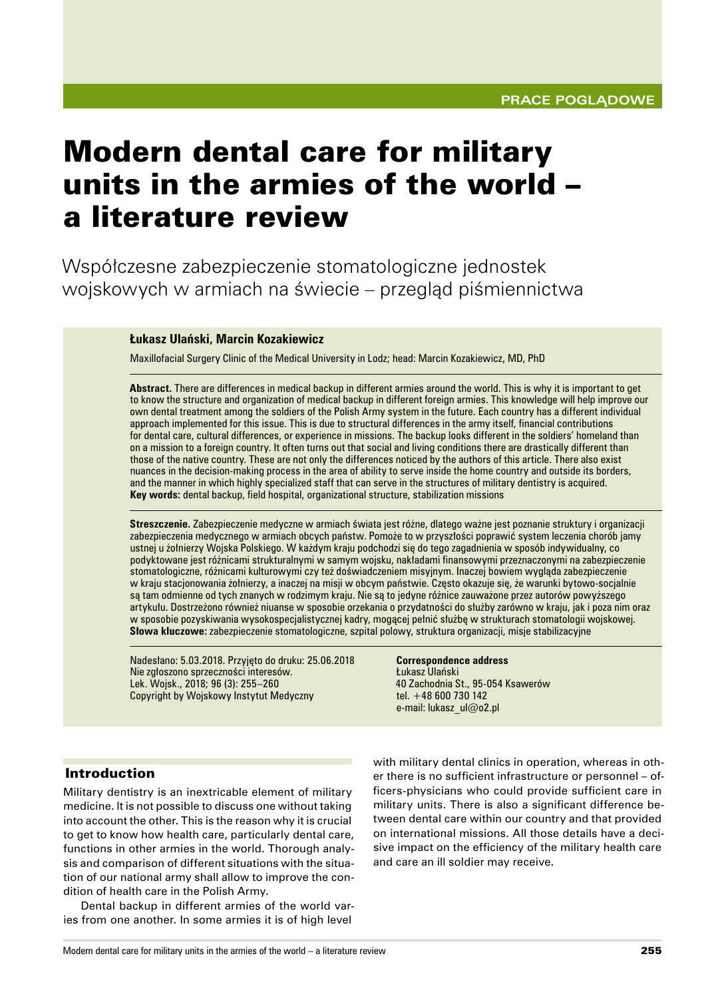# Modern dental care for military units in the armies of the world – a literature review

Współczesne zabezpieczenie stomatologiczne jednostek wojskowych w armiach na świecie – przegląd piśmiennictwa

#### **Łukasz Ulański, Marcin Kozakiewicz**

Maxillofacial Surgery Clinic of the Medical University in Lodz; head: Marcin Kozakiewicz, MD, PhD

**Abstract.** There are differences in medical backup in different armies around the world. This is why it is important to get to know the structure and organization of medical backup in different foreign armies. This knowledge will help improve our own dental treatment among the soldiers of the Polish Army system in the future. Each country has a different individual approach implemented for this issue. This is due to structural differences in the army itself, financial contributions for dental care, cultural differences, or experience in missions. The backup looks different in the soldiers' homeland than on a mission to a foreign country. It often turns out that social and living conditions there are drastically different than those of the native country. These are not only the differences noticed by the authors of this article. There also exist nuances in the decision-making process in the area of ability to serve inside the home country and outside its borders, and the manner in which highly specialized staff that can serve in the structures of military dentistry is acquired. **Key words:** dental backup, field hospital, organizational structure, stabilization missions

**Streszczenie.** Zabezpieczenie medyczne w armiach świata jest różne, dlatego ważne jest poznanie struktury i organizacji zabezpieczenia medycznego w armiach obcych państw. Pomoże to w przyszłości poprawić system leczenia chorób jamy ustnej u żołnierzy Wojska Polskiego. W każdym kraju podchodzi się do tego zagadnienia w sposób indywidualny, co podyktowane jest różnicami strukturalnymi w samym wojsku, nakładami finansowymi przeznaczonymi na zabezpieczenie stomatologiczne, różnicami kulturowymi czy też doświadczeniem misyjnym. Inaczej bowiem wygląda zabezpieczenie w kraju stacjonowania żołnierzy, a inaczej na misji w obcym państwie. Często okazuje się, że warunki bytowo‑socjalnie są tam odmienne od tych znanych w rodzimym kraju. Nie są to jedyne różnice zauważone przez autorów powyższego artykułu. Dostrzeżono również niuanse w sposobie orzekania o przydatności do służby zarówno w kraju, jak i poza nim oraz w sposobie pozyskiwania wysokospecjalistycznej kadry, mogącej pełnić służbę w strukturach stomatologii wojskowej. **Słowa kluczowe:** zabezpieczenie stomatologiczne, szpital polowy, struktura organizacji, misje stabilizacyjne

Nadesłano: 5.03.2018. Przyjęto do druku: 25.06.2018 Nie zgłoszono sprzeczności interesów. Lek. Wojsk., 2018; 96 (3): 255–260 Copyright by Wojskowy Instytut Medyczny

**Correspondence address** Łukasz Ulański 40 Zachodnia St., 95-054 Ksawerów tel. +48 600 730 142 e‑mail: lukasz\_ul@o2.pl

#### Introduction

Military dentistry is an inextricable element of military medicine. It is not possible to discuss one without taking into account the other. This is the reason why it is crucial to get to know how health care, particularly dental care, functions in other armies in the world. Thorough analysis and comparison of different situations with the situation of our national army shall allow to improve the condition of health care in the Polish Army.

Dental backup in different armies of the world varies from one another. In some armies it is of high level

with military dental clinics in operation, whereas in other there is no sufficient infrastructure or personnel – officers‑physicians who could provide sufficient care in military units. There is also a significant difference between dental care within our country and that provided on international missions. All those details have a decisive impact on the efficiency of the military health care and care an ill soldier may receive.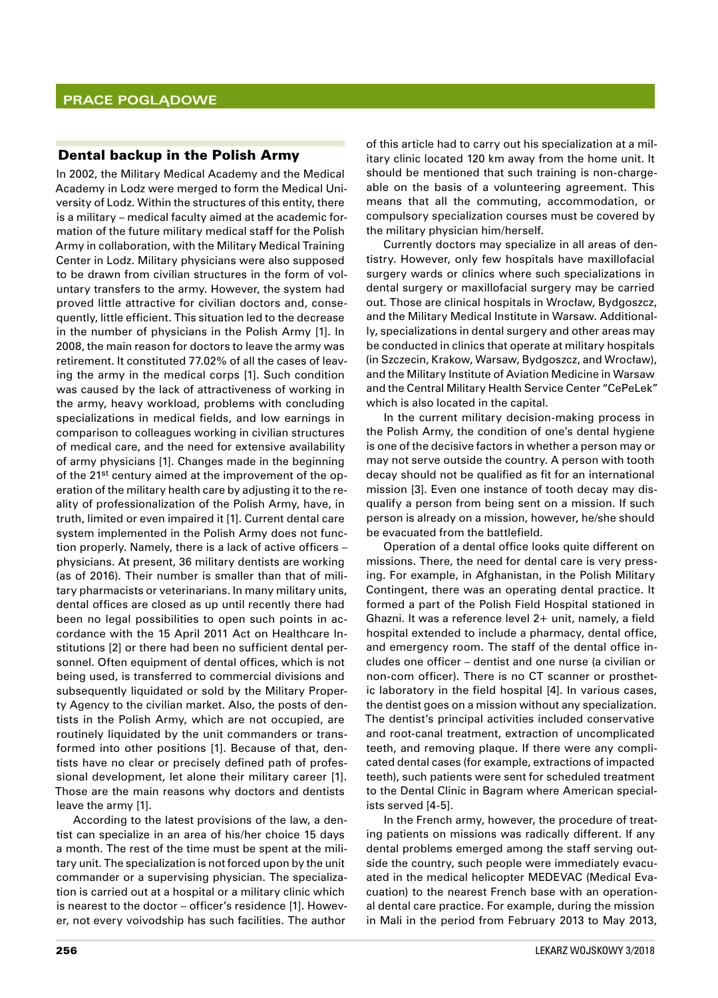### Dental backup in the Polish Army

In 2002, the Military Medical Academy and the Medical Academy in Lodz were merged to form the Medical University of Lodz. Within the structures of this entity, there is a military – medical faculty aimed at the academic formation of the future military medical staff for the Polish Army in collaboration, with the Military Medical Training Center in Lodz. Military physicians were also supposed to be drawn from civilian structures in the form of voluntary transfers to the army. However, the system had proved little attractive for civilian doctors and, consequently, little efficient. This situation led to the decrease in the number of physicians in the Polish Army [1]. In 2008, the main reason for doctors to leave the army was retirement. It constituted 77.02% of all the cases of leaving the army in the medical corps [1]. Such condition was caused by the lack of attractiveness of working in the army, heavy workload, problems with concluding specializations in medical fields, and low earnings in comparison to colleagues working in civilian structures of medical care, and the need for extensive availability of army physicians [1]. Changes made in the beginning of the 21st century aimed at the improvement of the operation of the military health care by adjusting it to the reality of professionalization of the Polish Army, have, in truth, limited or even impaired it [1]. Current dental care system implemented in the Polish Army does not function properly. Namely, there is a lack of active officers – physicians. At present, 36 military dentists are working (as of 2016). Their number is smaller than that of military pharmacists or veterinarians. In many military units, dental offices are closed as up until recently there had been no legal possibilities to open such points in accordance with the 15 April 2011 Act on Healthcare Institutions [2] or there had been no sufficient dental personnel. Often equipment of dental offices, which is not being used, is transferred to commercial divisions and subsequently liquidated or sold by the Military Property Agency to the civilian market. Also, the posts of dentists in the Polish Army, which are not occupied, are routinely liquidated by the unit commanders or transformed into other positions [1]. Because of that, dentists have no clear or precisely defined path of professional development, let alone their military career [1]. Those are the main reasons why doctors and dentists leave the army [1].

According to the latest provisions of the law, a dentist can specialize in an area of his/her choice 15 days a month. The rest of the time must be spent at the military unit. The specialization is not forced upon by the unit commander or a supervising physician. The specialization is carried out at a hospital or a military clinic which is nearest to the doctor – officer's residence [1]. However, not every voivodship has such facilities. The author

of this article had to carry out his specialization at a military clinic located 120 km away from the home unit. It should be mentioned that such training is non-chargeable on the basis of a volunteering agreement. This means that all the commuting, accommodation, or compulsory specialization courses must be covered by the military physician him/herself.

Currently doctors may specialize in all areas of dentistry. However, only few hospitals have maxillofacial surgery wards or clinics where such specializations in dental surgery or maxillofacial surgery may be carried out. Those are clinical hospitals in Wrocław, Bydgoszcz, and the Military Medical Institute in Warsaw. Additionally, specializations in dental surgery and other areas may be conducted in clinics that operate at military hospitals (in Szczecin, Krakow, Warsaw, Bydgoszcz, and Wrocław), and the Military Institute of Aviation Medicine in Warsaw and the Central Military Health Service Center "CePeLek" which is also located in the capital.

In the current military decision-making process in the Polish Army, the condition of one's dental hygiene is one of the decisive factors in whether a person may or may not serve outside the country. A person with tooth decay should not be qualified as fit for an international mission [3]. Even one instance of tooth decay may disqualify a person from being sent on a mission. If such person is already on a mission, however, he/she should be evacuated from the battlefield.

Operation of a dental office looks quite different on missions. There, the need for dental care is very pressing. For example, in Afghanistan, in the Polish Military Contingent, there was an operating dental practice. It formed a part of the Polish Field Hospital stationed in Ghazni. It was a reference level 2+ unit, namely, a field hospital extended to include a pharmacy, dental office, and emergency room. The staff of the dental office includes one officer – dentist and one nurse (a civilian or non-com officer). There is no CT scanner or prosthetic laboratory in the field hospital [4]. In various cases, the dentist goes on a mission without any specialization. The dentist's principal activities included conservative and root-canal treatment, extraction of uncomplicated teeth, and removing plaque. If there were any complicated dental cases (for example, extractions of impacted teeth), such patients were sent for scheduled treatment to the Dental Clinic in Bagram where American specialists served [4-5].

In the French army, however, the procedure of treating patients on missions was radically different. If any dental problems emerged among the staff serving outside the country, such people were immediately evacuated in the medical helicopter MEDEVAC (Medical Evacuation) to the nearest French base with an operational dental care practice. For example, during the mission in Mali in the period from February 2013 to May 2013,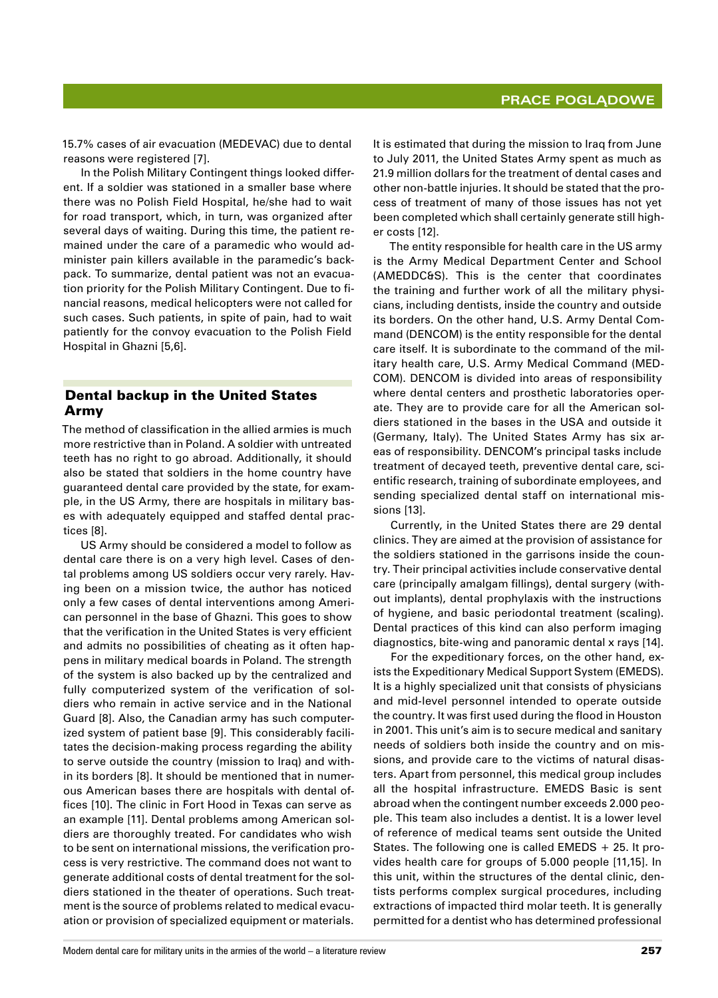15.7% cases of air evacuation (MEDEVAC) due to dental reasons were registered [7].

In the Polish Military Contingent things looked different. If a soldier was stationed in a smaller base where there was no Polish Field Hospital, he/she had to wait for road transport, which, in turn, was organized after several days of waiting. During this time, the patient remained under the care of a paramedic who would administer pain killers available in the paramedic's backpack. To summarize, dental patient was not an evacuation priority for the Polish Military Contingent. Due to financial reasons, medical helicopters were not called for such cases. Such patients, in spite of pain, had to wait patiently for the convoy evacuation to the Polish Field Hospital in Ghazni [5,6].

## Dental backup in the United States Army

The method of classification in the allied armies is much more restrictive than in Poland. A soldier with untreated teeth has no right to go abroad. Additionally, it should also be stated that soldiers in the home country have guaranteed dental care provided by the state, for example, in the US Army, there are hospitals in military bases with adequately equipped and staffed dental practices [8].

US Army should be considered a model to follow as dental care there is on a very high level. Cases of dental problems among US soldiers occur very rarely. Having been on a mission twice, the author has noticed only a few cases of dental interventions among American personnel in the base of Ghazni. This goes to show that the verification in the United States is very efficient and admits no possibilities of cheating as it often happens in military medical boards in Poland. The strength of the system is also backed up by the centralized and fully computerized system of the verification of soldiers who remain in active service and in the National Guard [8]. Also, the Canadian army has such computerized system of patient base [9]. This considerably facilitates the decision‑making process regarding the ability to serve outside the country (mission to Iraq) and within its borders [8]. It should be mentioned that in numerous American bases there are hospitals with dental offices [10]. The clinic in Fort Hood in Texas can serve as an example [11]. Dental problems among American soldiers are thoroughly treated. For candidates who wish to be sent on international missions, the verification process is very restrictive. The command does not want to generate additional costs of dental treatment for the soldiers stationed in the theater of operations. Such treatment is the source of problems related to medical evacuation or provision of specialized equipment or materials.

It is estimated that during the mission to Iraq from June to July 2011, the United States Army spent as much as 21.9 million dollars for the treatment of dental cases and other non‑battle injuries. It should be stated that the process of treatment of many of those issues has not yet been completed which shall certainly generate still higher costs [12].

The entity responsible for health care in the US army is the Army Medical Department Center and School (AMEDDC&S). This is the center that coordinates the training and further work of all the military physicians, including dentists, inside the country and outside its borders. On the other hand, U.S. Army Dental Command (DENCOM) is the entity responsible for the dental care itself. It is subordinate to the command of the military health care, U.S. Army Medical Command (MED-COM). DENCOM is divided into areas of responsibility where dental centers and prosthetic laboratories operate. They are to provide care for all the American soldiers stationed in the bases in the USA and outside it (Germany, Italy). The United States Army has six areas of responsibility. DENCOM's principal tasks include treatment of decayed teeth, preventive dental care, scientific research, training of subordinate employees, and sending specialized dental staff on international missions [13].

Currently, in the United States there are 29 dental clinics. They are aimed at the provision of assistance for the soldiers stationed in the garrisons inside the country. Their principal activities include conservative dental care (principally amalgam fillings), dental surgery (without implants), dental prophylaxis with the instructions of hygiene, and basic periodontal treatment (scaling). Dental practices of this kind can also perform imaging diagnostics, bite-wing and panoramic dental x rays [14].

For the expeditionary forces, on the other hand, exists the Expeditionary Medical Support System (EMEDS). It is a highly specialized unit that consists of physicians and mid‑level personnel intended to operate outside the country. It was first used during the flood in Houston in 2001. This unit's aim is to secure medical and sanitary needs of soldiers both inside the country and on missions, and provide care to the victims of natural disasters. Apart from personnel, this medical group includes all the hospital infrastructure. EMEDS Basic is sent abroad when the contingent number exceeds 2.000 people. This team also includes a dentist. It is a lower level of reference of medical teams sent outside the United States. The following one is called EMEDS  $+25$ . It provides health care for groups of 5.000 people [11,15]. In this unit, within the structures of the dental clinic, dentists performs complex surgical procedures, including extractions of impacted third molar teeth. It is generally permitted for a dentist who has determined professional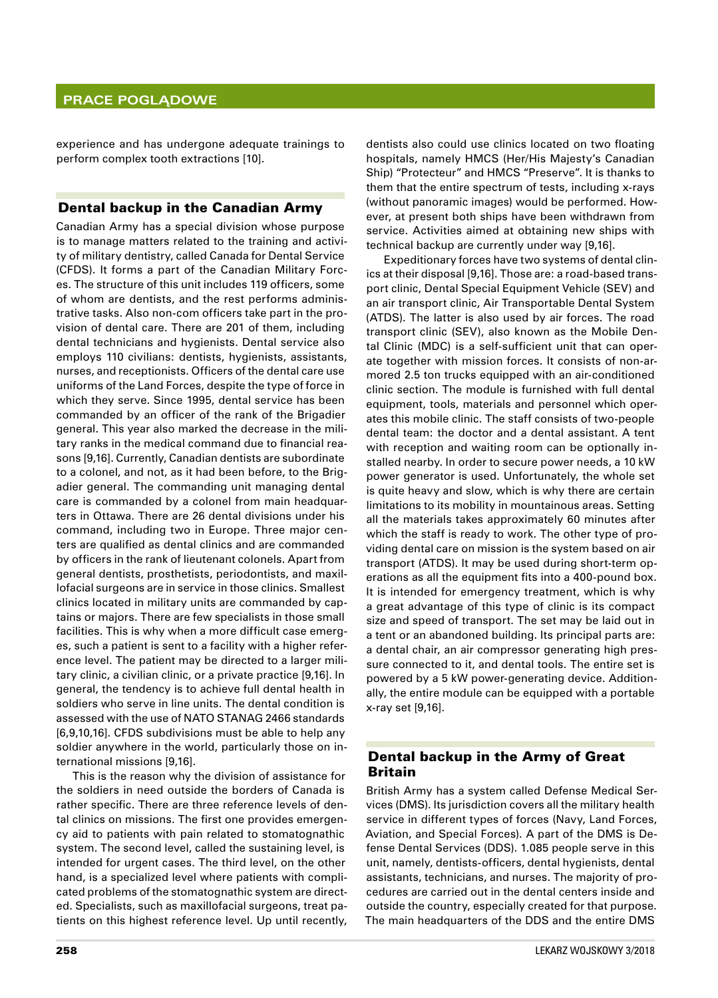### **Prace poglądowe**

experience and has undergone adequate trainings to perform complex tooth extractions [10].

#### Dental backup in the Canadian Army

Canadian Army has a special division whose purpose is to manage matters related to the training and activity of military dentistry, called Canada for Dental Service (CFDS). It forms a part of the Canadian Military Forces. The structure of this unit includes 119 officers, some of whom are dentists, and the rest performs administrative tasks. Also non‑com officers take part in the provision of dental care. There are 201 of them, including dental technicians and hygienists. Dental service also employs 110 civilians: dentists, hygienists, assistants, nurses, and receptionists. Officers of the dental care use uniforms of the Land Forces, despite the type of force in which they serve. Since 1995, dental service has been commanded by an officer of the rank of the Brigadier general. This year also marked the decrease in the military ranks in the medical command due to financial reasons [9,16]. Currently, Canadian dentists are subordinate to a colonel, and not, as it had been before, to the Brigadier general. The commanding unit managing dental care is commanded by a colonel from main headquarters in Ottawa. There are 26 dental divisions under his command, including two in Europe. Three major centers are qualified as dental clinics and are commanded by officers in the rank of lieutenant colonels. Apart from general dentists, prosthetists, periodontists, and maxillofacial surgeons are in service in those clinics. Smallest clinics located in military units are commanded by captains or majors. There are few specialists in those small facilities. This is why when a more difficult case emerges, such a patient is sent to a facility with a higher reference level. The patient may be directed to a larger military clinic, a civilian clinic, or a private practice [9,16]. In general, the tendency is to achieve full dental health in soldiers who serve in line units. The dental condition is assessed with the use of NATO STANAG 2466 standards [6,9,10,16]. CFDS subdivisions must be able to help any soldier anywhere in the world, particularly those on international missions [9,16].

This is the reason why the division of assistance for the soldiers in need outside the borders of Canada is rather specific. There are three reference levels of dental clinics on missions. The first one provides emergency aid to patients with pain related to stomatognathic system. The second level, called the sustaining level, is intended for urgent cases. The third level, on the other hand, is a specialized level where patients with complicated problems of the stomatognathic system are directed. Specialists, such as maxillofacial surgeons, treat patients on this highest reference level. Up until recently,

dentists also could use clinics located on two floating hospitals, namely HMCS (Her/His Majesty's Canadian Ship) "Protecteur" and HMCS "Preserve". It is thanks to them that the entire spectrum of tests, including x-rays (without panoramic images) would be performed. However, at present both ships have been withdrawn from service. Activities aimed at obtaining new ships with technical backup are currently under way [9,16].

Expeditionary forces have two systems of dental clinics at their disposal [9,16]. Those are: a road-based transport clinic, Dental Special Equipment Vehicle (SEV) and an air transport clinic, Air Transportable Dental System (ATDS). The latter is also used by air forces. The road transport clinic (SEV), also known as the Mobile Dental Clinic (MDC) is a self‑sufficient unit that can operate together with mission forces. It consists of non-armored 2.5 ton trucks equipped with an air‑conditioned clinic section. The module is furnished with full dental equipment, tools, materials and personnel which operates this mobile clinic. The staff consists of two-people dental team: the doctor and a dental assistant. A tent with reception and waiting room can be optionally installed nearby. In order to secure power needs, a 10 kW power generator is used. Unfortunately, the whole set is quite heavy and slow, which is why there are certain limitations to its mobility in mountainous areas. Setting all the materials takes approximately 60 minutes after which the staff is ready to work. The other type of providing dental care on mission is the system based on air transport (ATDS). It may be used during short-term operations as all the equipment fits into a 400‑pound box. It is intended for emergency treatment, which is why a great advantage of this type of clinic is its compact size and speed of transport. The set may be laid out in a tent or an abandoned building. Its principal parts are: a dental chair, an air compressor generating high pressure connected to it, and dental tools. The entire set is powered by a 5 kW power‑generating device. Additionally, the entire module can be equipped with a portable x‑ray set [9,16].

## Dental backup in the Army of Great Britain

British Army has a system called Defense Medical Services (DMS). Its jurisdiction covers all the military health service in different types of forces (Navy, Land Forces, Aviation, and Special Forces). A part of the DMS is Defense Dental Services (DDS). 1.085 people serve in this unit, namely, dentists‑officers, dental hygienists, dental assistants, technicians, and nurses. The majority of procedures are carried out in the dental centers inside and outside the country, especially created for that purpose. The main headquarters of the DDS and the entire DMS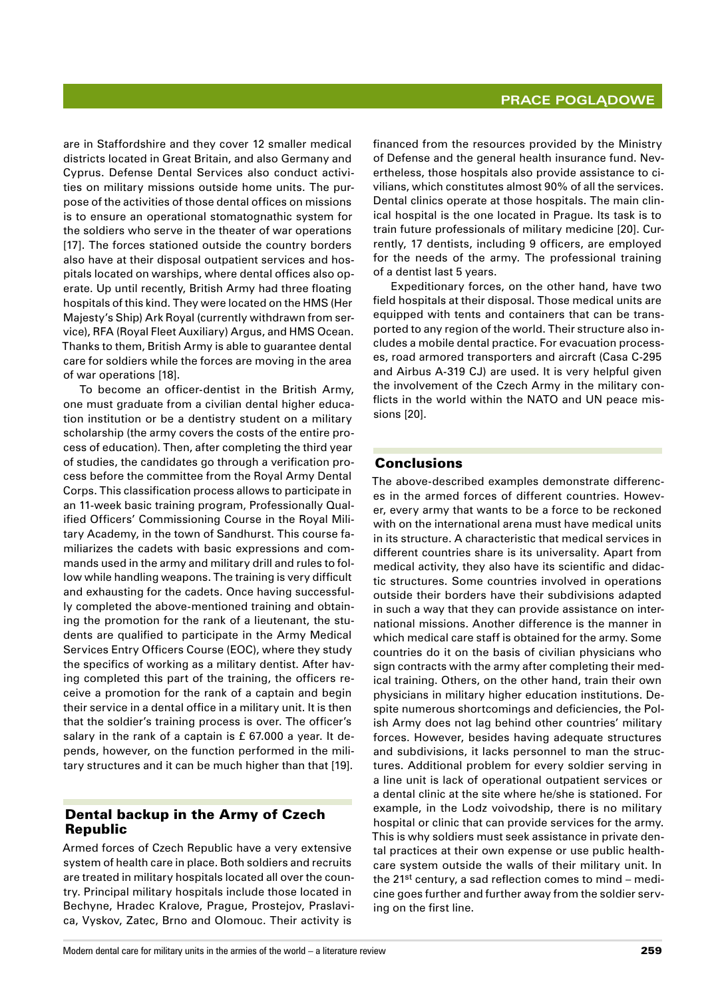are in Staffordshire and they cover 12 smaller medical districts located in Great Britain, and also Germany and Cyprus. Defense Dental Services also conduct activities on military missions outside home units. The purpose of the activities of those dental offices on missions is to ensure an operational stomatognathic system for the soldiers who serve in the theater of war operations [17]. The forces stationed outside the country borders also have at their disposal outpatient services and hospitals located on warships, where dental offices also operate. Up until recently, British Army had three floating hospitals of this kind. They were located on the HMS (Her Majesty's Ship) Ark Royal (currently withdrawn from service), RFA (Royal Fleet Auxiliary) Argus, and HMS Ocean. Thanks to them, British Army is able to guarantee dental care for soldiers while the forces are moving in the area of war operations [18].

To become an officer-dentist in the British Army, one must graduate from a civilian dental higher education institution or be a dentistry student on a military scholarship (the army covers the costs of the entire process of education). Then, after completing the third year of studies, the candidates go through a verification process before the committee from the Royal Army Dental Corps. This classification process allows to participate in an 11-week basic training program, Professionally Qualified Officers' Commissioning Course in the Royal Military Academy, in the town of Sandhurst. This course familiarizes the cadets with basic expressions and commands used in the army and military drill and rules to follow while handling weapons. The training is very difficult and exhausting for the cadets. Once having successfully completed the above‑mentioned training and obtaining the promotion for the rank of a lieutenant, the students are qualified to participate in the Army Medical Services Entry Officers Course (EOC), where they study the specifics of working as a military dentist. After having completed this part of the training, the officers receive a promotion for the rank of a captain and begin their service in a dental office in a military unit. It is then that the soldier's training process is over. The officer's salary in the rank of a captain is £ 67.000 a year. It depends, however, on the function performed in the military structures and it can be much higher than that [19].

### Dental backup in the Army of Czech Republic

Armed forces of Czech Republic have a very extensive system of health care in place. Both soldiers and recruits are treated in military hospitals located all over the country. Principal military hospitals include those located in Bechyne, Hradec Kralove, Prague, Prostejov, Praslavica, Vyskov, Zatec, Brno and Olomouc. Their activity is

financed from the resources provided by the Ministry of Defense and the general health insurance fund. Nevertheless, those hospitals also provide assistance to civilians, which constitutes almost 90% of all the services. Dental clinics operate at those hospitals. The main clinical hospital is the one located in Prague. Its task is to train future professionals of military medicine [20]. Currently, 17 dentists, including 9 officers, are employed for the needs of the army. The professional training of a dentist last 5 years.

Expeditionary forces, on the other hand, have two field hospitals at their disposal. Those medical units are equipped with tents and containers that can be transported to any region of the world. Their structure also includes a mobile dental practice. For evacuation processes, road armored transporters and aircraft (Casa C‑295 and Airbus A‑319 CJ) are used. It is very helpful given the involvement of the Czech Army in the military conflicts in the world within the NATO and UN peace missions [20].

## Conclusions

The above-described examples demonstrate differences in the armed forces of different countries. However, every army that wants to be a force to be reckoned with on the international arena must have medical units in its structure. A characteristic that medical services in different countries share is its universality. Apart from medical activity, they also have its scientific and didactic structures. Some countries involved in operations outside their borders have their subdivisions adapted in such a way that they can provide assistance on international missions. Another difference is the manner in which medical care staff is obtained for the army. Some countries do it on the basis of civilian physicians who sign contracts with the army after completing their medical training. Others, on the other hand, train their own physicians in military higher education institutions. Despite numerous shortcomings and deficiencies, the Polish Army does not lag behind other countries' military forces. However, besides having adequate structures and subdivisions, it lacks personnel to man the structures. Additional problem for every soldier serving in a line unit is lack of operational outpatient services or a dental clinic at the site where he/she is stationed. For example, in the Lodz voivodship, there is no military hospital or clinic that can provide services for the army. This is why soldiers must seek assistance in private dental practices at their own expense or use public healthcare system outside the walls of their military unit. In the 21<sup>st</sup> century, a sad reflection comes to mind – medicine goes further and further away from the soldier serving on the first line.